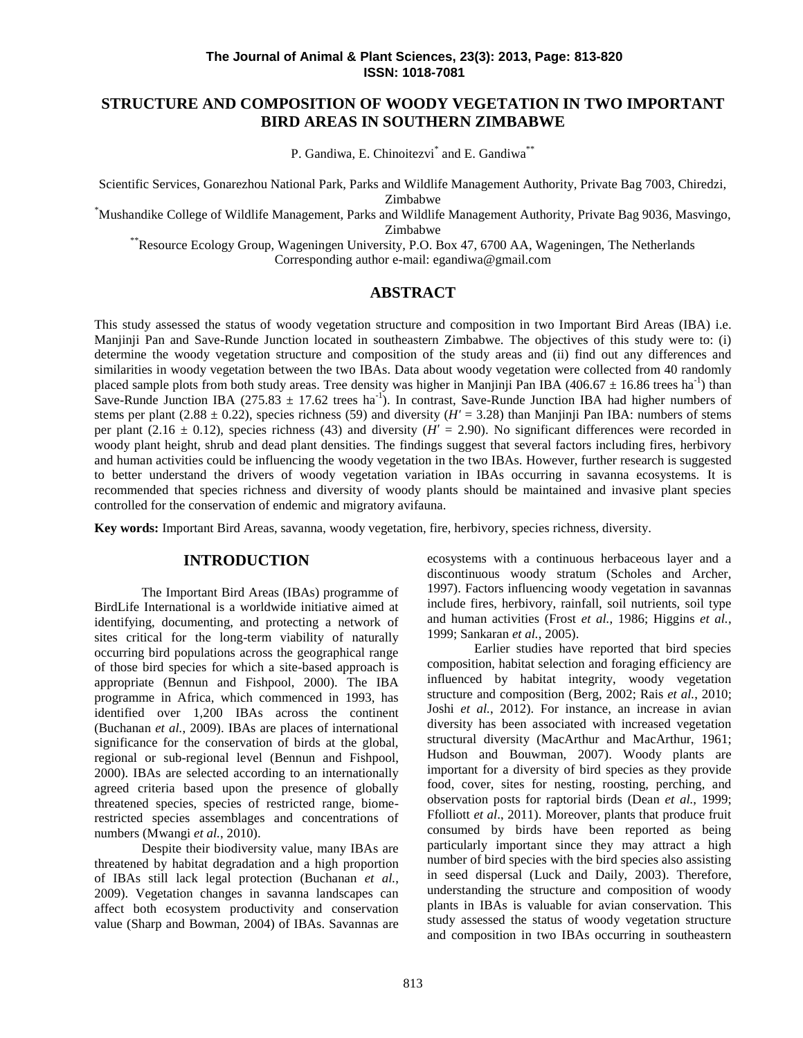# **STRUCTURE AND COMPOSITION OF WOODY VEGETATION IN TWO IMPORTANT BIRD AREAS IN SOUTHERN ZIMBABWE**

P. Gandiwa, E. Chinoitezvi<sup>\*</sup> and E. Gandiwa<sup>\*\*</sup>

Scientific Services, Gonarezhou National Park, Parks and Wildlife Management Authority, Private Bag 7003, Chiredzi, Zimbabwe

\*Mushandike College of Wildlife Management, Parks and Wildlife Management Authority, Private Bag 9036, Masvingo, Zimbabwe

\*\*Resource Ecology Group, Wageningen University, P.O. Box 47, 6700 AA, Wageningen, The Netherlands

Corresponding author e-mail: egandiwa@gmail.com

### **ABSTRACT**

This study assessed the status of woody vegetation structure and composition in two Important Bird Areas (IBA) i.e. Manjinji Pan and Save-Runde Junction located in southeastern Zimbabwe. The objectives of this study were to: (i) determine the woody vegetation structure and composition of the study areas and (ii) find out any differences and similarities in woody vegetation between the two IBAs. Data about woody vegetation were collected from 40 randomly placed sample plots from both study areas. Tree density was higher in Manjinji Pan IBA (406.67  $\pm$  16.86 trees ha<sup>-1</sup>) than Save-Runde Junction IBA (275.83  $\pm$  17.62 trees ha<sup>-1</sup>). In contrast, Save-Runde Junction IBA had higher numbers of stems per plant (2.88  $\pm$  0.22), species richness (59) and diversity ( $H = 3.28$ ) than Manjinji Pan IBA: numbers of stems per plant (2.16  $\pm$  0.12), species richness (43) and diversity ( $H = 2.90$ ). No significant differences were recorded in woody plant height, shrub and dead plant densities. The findings suggest that several factors including fires, herbivory and human activities could be influencing the woody vegetation in the two IBAs. However, further research is suggested to better understand the drivers of woody vegetation variation in IBAs occurring in savanna ecosystems. It is recommended that species richness and diversity of woody plants should be maintained and invasive plant species controlled for the conservation of endemic and migratory avifauna.

**Key words:** Important Bird Areas, savanna, woody vegetation, fire, herbivory, species richness, diversity.

### **INTRODUCTION**

The Important Bird Areas (IBAs) programme of BirdLife International is a worldwide initiative aimed at identifying, documenting, and protecting a network of sites critical for the long-term viability of naturally occurring bird populations across the geographical range of those bird species for which a site-based approach is appropriate (Bennun and Fishpool, 2000). The IBA programme in Africa, which commenced in 1993, has identified over 1,200 IBAs across the continent (Buchanan *et al.*, 2009). IBAs are places of international significance for the conservation of birds at the global, regional or sub-regional level (Bennun and Fishpool, 2000). IBAs are selected according to an internationally agreed criteria based upon the presence of globally threatened species, species of restricted range, biomerestricted species assemblages and concentrations of numbers (Mwangi *et al.*, 2010).

Despite their biodiversity value, many IBAs are threatened by habitat degradation and a high proportion of IBAs still lack legal protection (Buchanan *et al.*, 2009). Vegetation changes in savanna landscapes can affect both ecosystem productivity and conservation value (Sharp and Bowman, 2004) of IBAs. Savannas are ecosystems with a continuous herbaceous layer and a discontinuous woody stratum (Scholes and Archer, 1997). Factors influencing woody vegetation in savannas include fires, herbivory, rainfall, soil nutrients, soil type and human activities (Frost *et al.*, 1986; Higgins *et al.*, 1999; Sankaran *et al.*, 2005).

Earlier studies have reported that bird species composition, habitat selection and foraging efficiency are influenced by habitat integrity, woody vegetation structure and composition (Berg, 2002; Rais *et al.*, 2010; Joshi *et al.*, 2012). For instance, an increase in avian diversity has been associated with increased vegetation structural diversity (MacArthur and MacArthur, 1961; Hudson and Bouwman, 2007). Woody plants are important for a diversity of bird species as they provide food, cover, sites for nesting, roosting, perching, and observation posts for raptorial birds (Dean *et al.*, 1999; Ffolliott *et al*., 2011). Moreover, plants that produce fruit consumed by birds have been reported as being particularly important since they may attract a high number of bird species with the bird species also assisting in seed dispersal (Luck and Daily, 2003). Therefore, understanding the structure and composition of woody plants in IBAs is valuable for avian conservation. This study assessed the status of woody vegetation structure and composition in two IBAs occurring in southeastern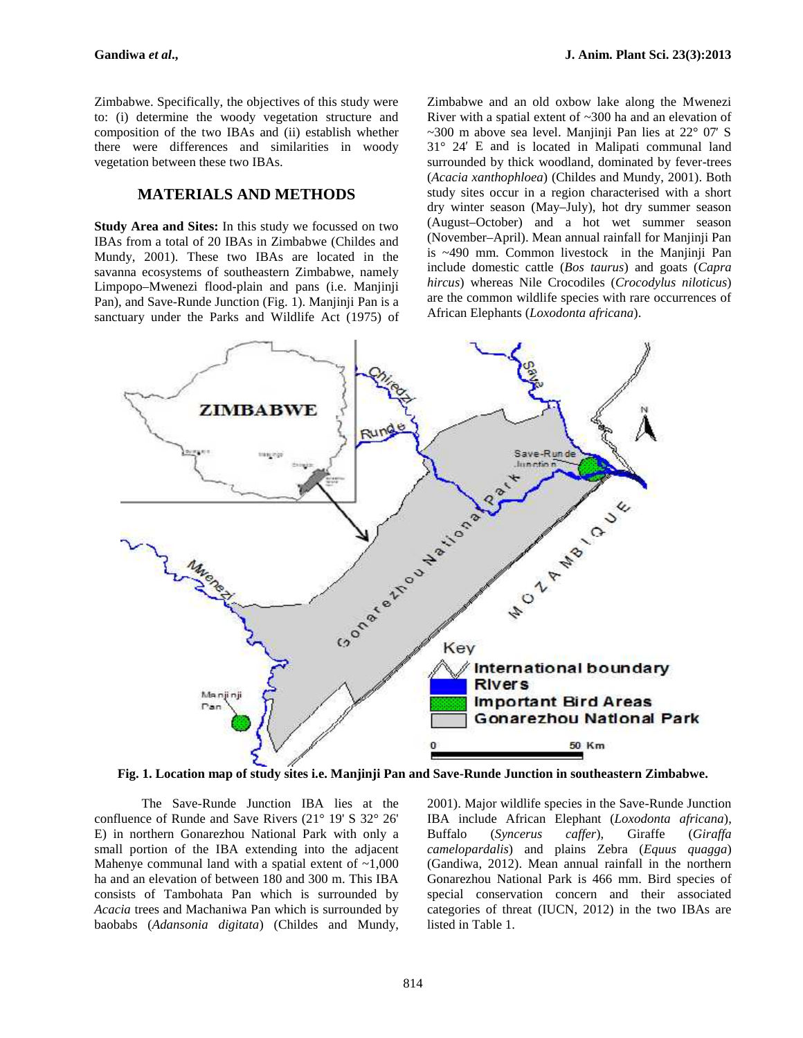Zimbabwe. Specifically, the objectives of this study were to: (i) determine the woody vegetation structure and composition of the two IBAs and (ii) establish whether there were differences and similarities in woody vegetation between these two IBAs.

## **MATERIALS AND METHODS**

**Study Area and Sites:** In this study we focussed on two IBAs from a total of 20 IBAs in Zimbabwe (Childes and Mundy, 2001). These two IBAs are located in the savanna ecosystems of southeastern Zimbabwe, namely Limpopo–Mwenezi flood-plain and pans (i.e. Manjinji Pan), and Save-Runde Junction (Fig. 1). Manjinji Pan is a sanctuary under the Parks and Wildlife Act (1975) of Zimbabwe and an old oxbow lake along the Mwenezi River with a spatial extent of ~300 ha and an elevation of  $\sim$ 300 m above sea level. Manjinji Pan lies at 22 $\degree$  07 S 31° 24′ E and is located in Malipati communal land surrounded by thick woodland, dominated by fever-trees (*Acacia xanthophloea*) (Childes and Mundy, 2001). Both study sites occur in a region characterised with a short dry winter season (May–July), hot dry summer season (August–October) and a hot wet summer season (November–April). Mean annual rainfall for Manjinji Pan is ~490 mm. Common livestock in the Manjinji Pan include domestic cattle (*Bos taurus*) and goats (*Capra hircus*) whereas Nile Crocodiles (*Crocodylus niloticus*) are the common wildlife species with rare occurrences of African Elephants (*Loxodonta africana*).



**Fig. 1. Location map of study sites i.e. Manjinji Pan and Save-Runde Junction in southeastern Zimbabwe.**

The Save-Runde Junction IBA lies at the confluence of Runde and Save Rivers (21° 19' S 32° 26' E) in northern Gonarezhou National Park with only a small portion of the IBA extending into the adjacent Mahenye communal land with a spatial extent of  $\sim 1,000$ ha and an elevation of between 180 and 300 m. This IBA consists of Tambohata Pan which is surrounded by *Acacia* trees and Machaniwa Pan which is surrounded by baobabs (*Adansonia digitata*) (Childes and Mundy,

2001). Major wildlife species in the Save-Runde Junction IBA include African Elephant (*Loxodonta africana*), Buffalo (*Syncerus caffer*), Giraffe (*Giraffa camelopardalis*) and plains Zebra (*Equus quagga*) (Gandiwa, 2012). Mean annual rainfall in the northern Gonarezhou National Park is 466 mm. Bird species of special conservation concern and their associated categories of threat (IUCN, 2012) in the two IBAs are listed in Table 1.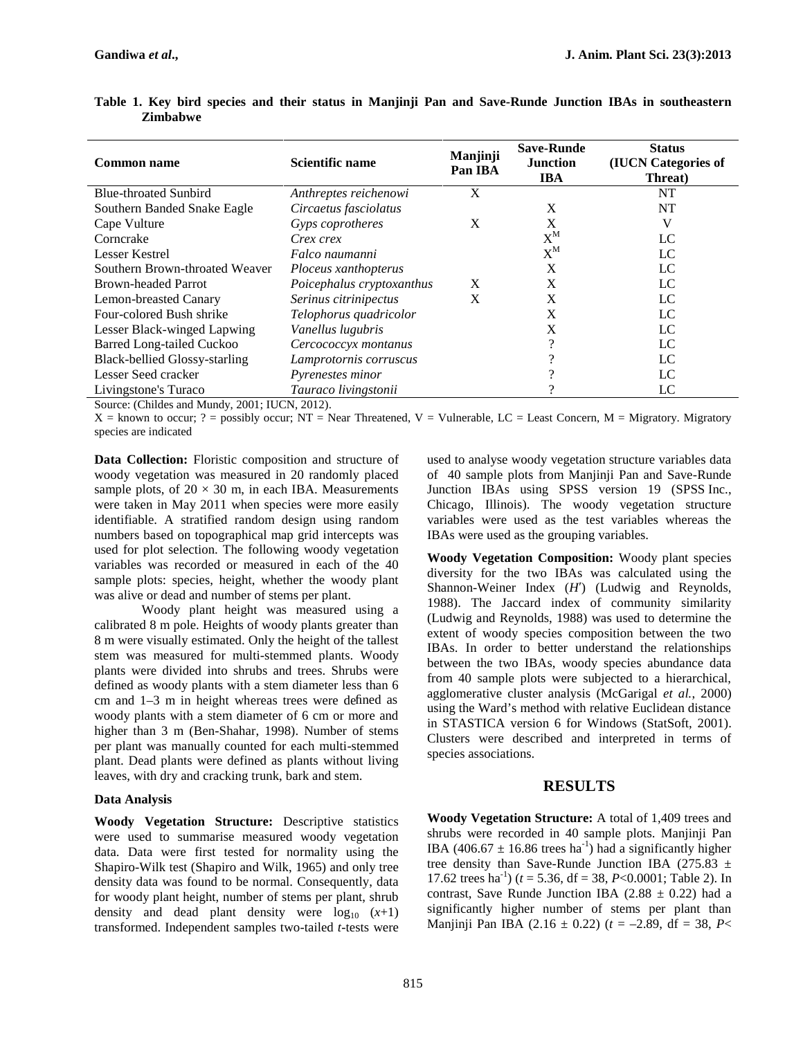| <b>Common name</b>                   | Scientific name           | Manjinji<br>Pan IBA | <b>Save-Runde</b><br><b>Junction</b><br><b>IBA</b> | <b>Status</b><br><b>(IUCN Categories of</b><br>Threat) |  |  |
|--------------------------------------|---------------------------|---------------------|----------------------------------------------------|--------------------------------------------------------|--|--|
| <b>Blue-throated Sunbird</b>         | Anthreptes reichenowi     | X                   |                                                    | NT                                                     |  |  |
| Southern Banded Snake Eagle          | Circaetus fasciolatus     |                     | X                                                  | NT                                                     |  |  |
| Cape Vulture                         | Gyps coprotheres          | X                   | X                                                  | V                                                      |  |  |
| Corncrake                            | <i>Crex crex</i>          |                     | $\rm X^M$                                          | LC                                                     |  |  |
| Lesser Kestrel                       | Falco naumanni            |                     | $X^M$                                              | LC                                                     |  |  |
| Southern Brown-throated Weaver       | Ploceus xanthopterus      |                     | X                                                  | LC                                                     |  |  |
| <b>Brown-headed Parrot</b>           | Poicephalus cryptoxanthus | X                   | X                                                  | LC                                                     |  |  |
| Lemon-breasted Canary                | Serinus citrinipectus     | X                   | X                                                  | LC                                                     |  |  |
| Four-colored Bush shrike             | Telophorus quadricolor    |                     | X                                                  | LC                                                     |  |  |
| Lesser Black-winged Lapwing          | Vanellus lugubris         |                     | X                                                  | LC                                                     |  |  |
| <b>Barred Long-tailed Cuckoo</b>     | Cercococcyx montanus      |                     |                                                    | LC                                                     |  |  |
| <b>Black-bellied Glossy-starling</b> | Lamprotornis corruscus    |                     |                                                    | LC                                                     |  |  |
| Lesser Seed cracker                  | Pyrenestes minor          |                     |                                                    | LC                                                     |  |  |
| Livingstone's Turaco                 | Tauraco livingstonii      |                     |                                                    | LC                                                     |  |  |

**Table 1. Key bird species and their status in Manjinji Pan and Save-Runde Junction IBAs in southeastern Zimbabwe**

Source: (Childes and Mundy, 2001; IUCN, 2012).

 $X =$  known to occur; ? = possibly occur; NT = Near Threatened, V = Vulnerable, LC = Least Concern, M = Migratory. Migratory species are indicated

**Data Collection:** Floristic composition and structure of woody vegetation was measured in 20 randomly placed sample plots, of  $20 \times 30$  m, in each IBA. Measurements were taken in May 2011 when species were more easily identifiable. A stratified random design using random numbers based on topographical map grid intercepts was used for plot selection. The following woody vegetation variables was recorded or measured in each of the 40 sample plots: species, height, whether the woody plant was alive or dead and number of stems per plant.

Woody plant height was measured using a calibrated 8 m pole. Heights of woody plants greater than 8 m were visually estimated. Only the height of the tallest stem was measured for multi-stemmed plants. Woody plants were divided into shrubs and trees. Shrubs were defined as woody plants with a stem diameter less than 6 cm and 1–3 m in height whereas trees were defined as woody plants with a stem diameter of 6 cm or more and higher than 3 m (Ben-Shahar, 1998). Number of stems per plant was manually counted for each multi-stemmed plant. Dead plants were defined as plants without living leaves, with dry and cracking trunk, bark and stem.

#### **Data Analysis**

**Woody Vegetation Structure:** Descriptive statistics were used to summarise measured woody vegetation data. Data were first tested for normality using the Shapiro-Wilk test (Shapiro and Wilk, 1965) and only tree density data was found to be normal. Consequently, data for woody plant height, number of stems per plant, shrub density and dead plant density were  $log_{10} (x+1)$ transformed. Independent samples two-tailed *t*-tests were

used to analyse woody vegetation structure variables data of 40 sample plots from Manjinji Pan and Save-Runde Junction IBAs using SPSS version 19 (SPSS Inc., Chicago, Illinois). The woody vegetation structure variables were used as the test variables whereas the IBAs were used as the grouping variables.

**Woody Vegetation Composition:** Woody plant species diversity for the two IBAs was calculated using the Shannon-Weiner Index (*H*) (Ludwig and Reynolds, 1988). The Jaccard index of community similarity (Ludwig and Reynolds, 1988) was used to determine the extent of woody species composition between the two IBAs. In order to better understand the relationships between the two IBAs, woody species abundance data from 40 sample plots were subjected to a hierarchical, agglomerative cluster analysis (McGarigal *et al.*, 2000) using the Ward's method with relative Euclidean distance in STASTICA version 6 for Windows (StatSoft, 2001). Clusters were described and interpreted in terms of species associations.

### **RESULTS**

**Woody Vegetation Structure:** A total of 1,409 trees and shrubs were recorded in 40 sample plots. Manjinji Pan IBA (406.67  $\pm$  16.86 trees ha<sup>-1</sup>) had a significantly higher tree density than Save-Runde Junction IBA (275.83  $\pm$ 17.62 trees ha<sup>-1</sup>) ( $t = 5.36$ , df = 38,  $P < 0.0001$ ; Table 2). In contrast, Save Runde Junction IBA (2.88  $\pm$  0.22) had a significantly higher number of stems per plant than Manjinji Pan IBA (2.16 ± 0.22) (*t* = –2.89, df = 38, *P*<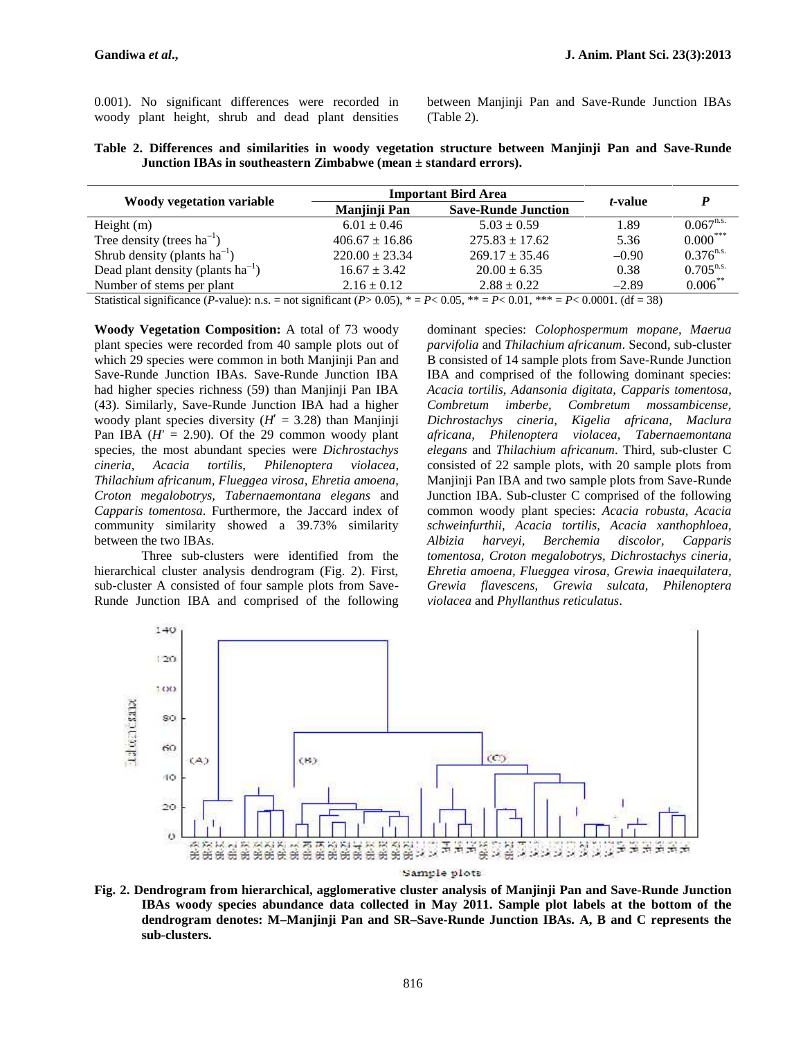|  |  |  | 0.001). No significant differences were recorded in | bety |
|--|--|--|-----------------------------------------------------|------|
|  |  |  | woody plant height, shrub and dead plant densities  | (Ta) |

between Manjinji Pan and Save-Runde Junction IBAs (Table 2).

| Table 2. Differences and similarities in woody vegetation structure between Manjinji Pan and Save-Runde |                                                                      |  |  |  |  |  |
|---------------------------------------------------------------------------------------------------------|----------------------------------------------------------------------|--|--|--|--|--|
|                                                                                                         | Junction IBAs in southeastern Zimbabwe (mean $\pm$ standard errors). |  |  |  |  |  |

|                                                      | <b>Important Bird Area</b>                       | <i>t</i> -value                                                                                                                                                                                                                                                                                                                                                                                                         | D                                            |                |  |
|------------------------------------------------------|--------------------------------------------------|-------------------------------------------------------------------------------------------------------------------------------------------------------------------------------------------------------------------------------------------------------------------------------------------------------------------------------------------------------------------------------------------------------------------------|----------------------------------------------|----------------|--|
| <b>Woody vegetation variable</b>                     | <b>Save-Runde Junction</b><br>Manjinji Pan       |                                                                                                                                                                                                                                                                                                                                                                                                                         |                                              |                |  |
| Height $(m)$                                         | $6.01 \pm 0.46$                                  | $5.03 \pm 0.59$                                                                                                                                                                                                                                                                                                                                                                                                         | 1.89                                         | $0.067^{n.s.}$ |  |
| Tree density (trees $ha^{-1}$ )                      | $406.67 \pm 16.86$                               | $275.83 + 17.62$                                                                                                                                                                                                                                                                                                                                                                                                        | 5.36                                         | $0.000***$     |  |
| Shrub density (plants $ha^{-1}$ )                    | $220.00 \pm 23.34$                               | $269.17 + 35.46$                                                                                                                                                                                                                                                                                                                                                                                                        | $-0.90$                                      | $0.376^{n.s.}$ |  |
| Dead plant density (plants $ha^{-1}$ )               | $16.67 \pm 3.42$                                 | $20.00 \pm 6.35$                                                                                                                                                                                                                                                                                                                                                                                                        | 0.38                                         | $0.705^{n.s.}$ |  |
| Number of stems per plant                            | $2.16 \pm 0.12$                                  | $2.88 \pm 0.22$                                                                                                                                                                                                                                                                                                                                                                                                         | $-2.89$                                      | $0.006$ **     |  |
| $\sim$ $\sim$ $\sim$ $\sim$ $\sim$<br>$\sqrt{n}$ 1 \ | $\sim$ $\sim$ $\sim$ $\sim$ $\sim$ $\sim$ $\sim$ | $\mathbf{D} = \mathbf{A} \mathbf{A} \mathbf{B} + \mathbf{A} \mathbf{A} + \mathbf{A} \mathbf{A} + \mathbf{A} \mathbf{A} + \mathbf{A} \mathbf{A} + \mathbf{A} \mathbf{A} + \mathbf{A} \mathbf{A} + \mathbf{A} \mathbf{A} + \mathbf{A} \mathbf{A} + \mathbf{A} \mathbf{A} + \mathbf{A} \mathbf{A} + \mathbf{A} \mathbf{A} + \mathbf{A} \mathbf{A} + \mathbf{A} \mathbf{A} + \mathbf{A} \mathbf{A} + \mathbf{A} \mathbf{A}$ | $R = 0.0001 \times 10^{-7}$<br>$\sim$ $\sim$ |                |  |

Statistical significance (*P*-value): n.s. = not significant (*P*> 0.05),  $* = P < 0.05$ ,  $* = P < 0.01$ ,  $* * = P < 0.0001$ . (df = 38)

**Woody Vegetation Composition:** A total of 73 woody plant species were recorded from 40 sample plots out of which 29 species were common in both Manjinji Pan and Save-Runde Junction IBAs. Save-Runde Junction IBA had higher species richness (59) than Manjinji Pan IBA (43). Similarly, Save-Runde Junction IBA had a higher woody plant species diversity  $(H = 3.28)$  than Manjinji Pan IBA  $(H = 2.90)$ . Of the 29 common woody plant species, the most abundant species were *Dichrostachys cineria, Acacia tortilis*, *Philenoptera violacea*, *Thilachium africanum, Flueggea virosa*, *Ehretia amoena, Croton megalobotrys, Tabernaemontana elegans* and *Capparis tomentosa*. Furthermore, the Jaccard index of community similarity showed a 39.73% similarity between the two IBAs.

Three sub-clusters were identified from the hierarchical cluster analysis dendrogram (Fig. 2). First, sub-cluster A consisted of four sample plots from Save- Runde Junction IBA and comprised of the following

dominant species: *Colophospermum mopane, Maerua parvifolia* and *Thilachium africanum*. Second, sub-cluster B consisted of 14 sample plots from Save-Runde Junction IBA and comprised of the following dominant species: *Acacia tortilis, Adansonia digitata, Capparis tomentosa,*  $Combretum$  *mossambicense*, *Dichrostachys cineria, Kigelia africana, Maclura africana, Philenoptera violacea, Tabernaemontana elegans* and *Thilachium africanum*. Third, sub-cluster C consisted of 22 sample plots, with 20 sample plots from Manjinji Pan IBA and two sample plots from Save-Runde Junction IBA. Sub-cluster C comprised of the following common woody plant species: *Acacia robusta, Acacia schweinfurthii, Acacia tortilis, Acacia xanthophloea, Albizia harveyi, Berchemia discolor, Capparis tomentosa, Croton megalobotrys, Dichrostachys cineria, Ehretia amoena, Flueggea virosa, Grewia inaequilatera, Grewia flavescens, Grewia sulcata, Philenoptera violacea* and *Phyllanthus reticulatus*.



**Fig. 2. Dendrogram from hierarchical, agglomerative cluster analysis of Manjinji Pan and Save-Runde Junction IBAs woody species abundance data collected in May 2011. Sample plot labels at the bottom of the dendrogram denotes: M–Manjinji Pan and SR–Save-Runde Junction IBAs. A, B and C represents the sub-clusters.**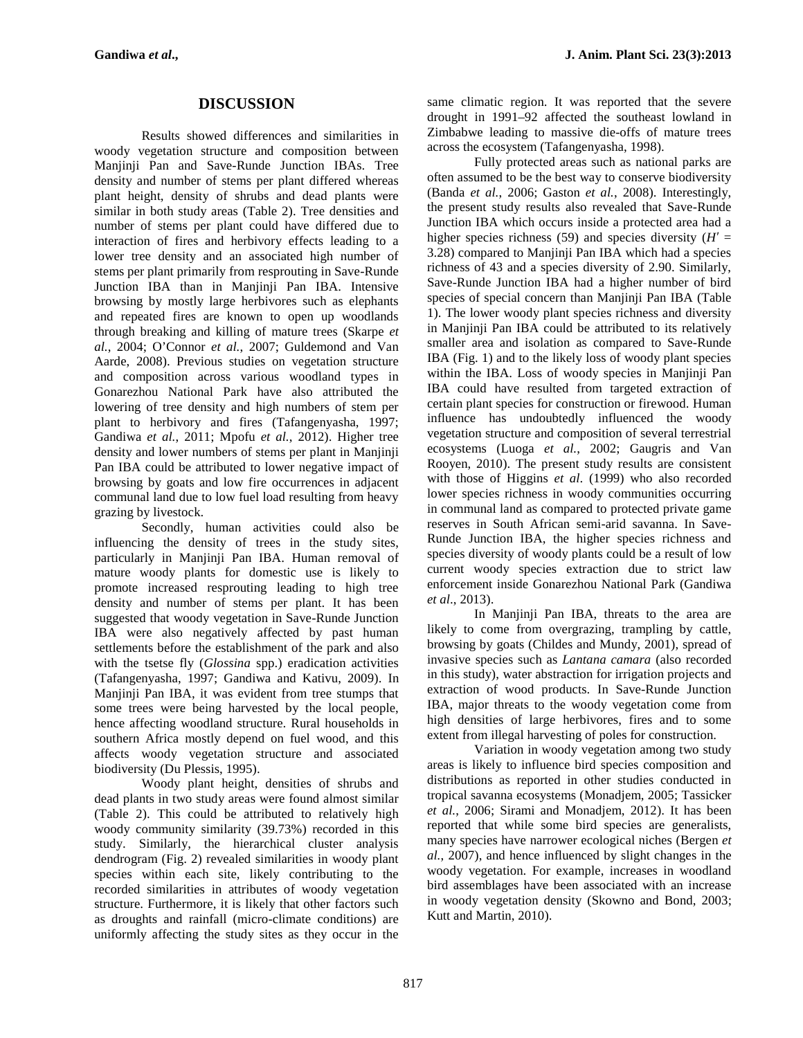# **DISCUSSION**

Results showed differences and similarities in woody vegetation structure and composition between Manjinji Pan and Save-Runde Junction IBAs. Tree density and number of stems per plant differed whereas plant height, density of shrubs and dead plants were similar in both study areas (Table 2). Tree densities and number of stems per plant could have differed due to interaction of fires and herbivory effects leading to a lower tree density and an associated high number of stems per plant primarily from resprouting in Save-Runde Junction IBA than in Manjinji Pan IBA. Intensive browsing by mostly large herbivores such as elephants and repeated fires are known to open up woodlands through breaking and killing of mature trees (Skarpe *et al.*, 2004; O'Connor *et al.*, 2007; Guldemond and Van Aarde, 2008). Previous studies on vegetation structure and composition across various woodland types in Gonarezhou National Park have also attributed the lowering of tree density and high numbers of stem per plant to herbivory and fires (Tafangenyasha, 1997; Gandiwa *et al.*, 2011; Mpofu *et al.*, 2012). Higher tree density and lower numbers of stems per plant in Manjinji Pan IBA could be attributed to lower negative impact of browsing by goats and low fire occurrences in adjacent communal land due to low fuel load resulting from heavy grazing by livestock.

Secondly, human activities could also be influencing the density of trees in the study sites, particularly in Manjinji Pan IBA. Human removal of mature woody plants for domestic use is likely to promote increased resprouting leading to high tree density and number of stems per plant. It has been suggested that woody vegetation in Save-Runde Junction IBA were also negatively affected by past human settlements before the establishment of the park and also with the tsetse fly (*Glossina* spp.) eradication activities (Tafangenyasha, 1997; Gandiwa and Kativu, 2009). In Manjinji Pan IBA, it was evident from tree stumps that some trees were being harvested by the local people, hence affecting woodland structure. Rural households in southern Africa mostly depend on fuel wood, and this affects woody vegetation structure and associated biodiversity (Du Plessis, 1995).

Woody plant height, densities of shrubs and dead plants in two study areas were found almost similar (Table 2). This could be attributed to relatively high woody community similarity (39.73%) recorded in this study. Similarly, the hierarchical cluster analysis dendrogram (Fig. 2) revealed similarities in woody plant species within each site, likely contributing to the recorded similarities in attributes of woody vegetation structure. Furthermore, it is likely that other factors such as droughts and rainfall (micro-climate conditions) are uniformly affecting the study sites as they occur in the

same climatic region. It was reported that the severe drought in 1991–92 affected the southeast lowland in Zimbabwe leading to massive die-offs of mature trees across the ecosystem (Tafangenyasha, 1998).

Fully protected areas such as national parks are often assumed to be the best way to conserve biodiversity (Banda *et al.*, 2006; Gaston *et al.*, 2008). Interestingly, the present study results also revealed that Save-Runde Junction IBA which occurs inside a protected area had a higher species richness (59) and species diversity ( $H =$ 3.28) compared to Manjinji Pan IBA which had a species richness of 43 and a species diversity of 2.90. Similarly, Save-Runde Junction IBA had a higher number of bird species of special concern than Manjinji Pan IBA (Table 1). The lower woody plant species richness and diversity in Manjinji Pan IBA could be attributed to its relatively smaller area and isolation as compared to Save-Runde IBA (Fig. 1) and to the likely loss of woody plant species within the IBA. Loss of woody species in Manjinji Pan IBA could have resulted from targeted extraction of certain plant species for construction or firewood. Human influence has undoubtedly influenced the woody vegetation structure and composition of several terrestrial ecosystems (Luoga *et al.*, 2002; Gaugris and Van Rooyen, 2010). The present study results are consistent with those of Higgins *et al*. (1999) who also recorded lower species richness in woody communities occurring in communal land as compared to protected private game reserves in South African semi-arid savanna. In Save- Runde Junction IBA, the higher species richness and species diversity of woody plants could be a result of low current woody species extraction due to strict law enforcement inside Gonarezhou National Park (Gandiwa *et al*., 2013).

In Manjinji Pan IBA, threats to the area are likely to come from overgrazing, trampling by cattle, browsing by goats (Childes and Mundy, 2001), spread of invasive species such as *Lantana camara* (also recorded in this study), water abstraction for irrigation projects and extraction of wood products. In Save-Runde Junction IBA, major threats to the woody vegetation come from high densities of large herbivores, fires and to some extent from illegal harvesting of poles for construction.

Variation in woody vegetation among two study areas is likely to influence bird species composition and distributions as reported in other studies conducted in tropical savanna ecosystems (Monadjem, 2005; Tassicker *et al.*, 2006; Sirami and Monadjem, 2012). It has been reported that while some bird species are generalists, many species have narrower ecological niches (Bergen *et al.*, 2007), and hence influenced by slight changes in the woody vegetation. For example, increases in woodland bird assemblages have been associated with an increase in woody vegetation density (Skowno and Bond, 2003; Kutt and Martin, 2010).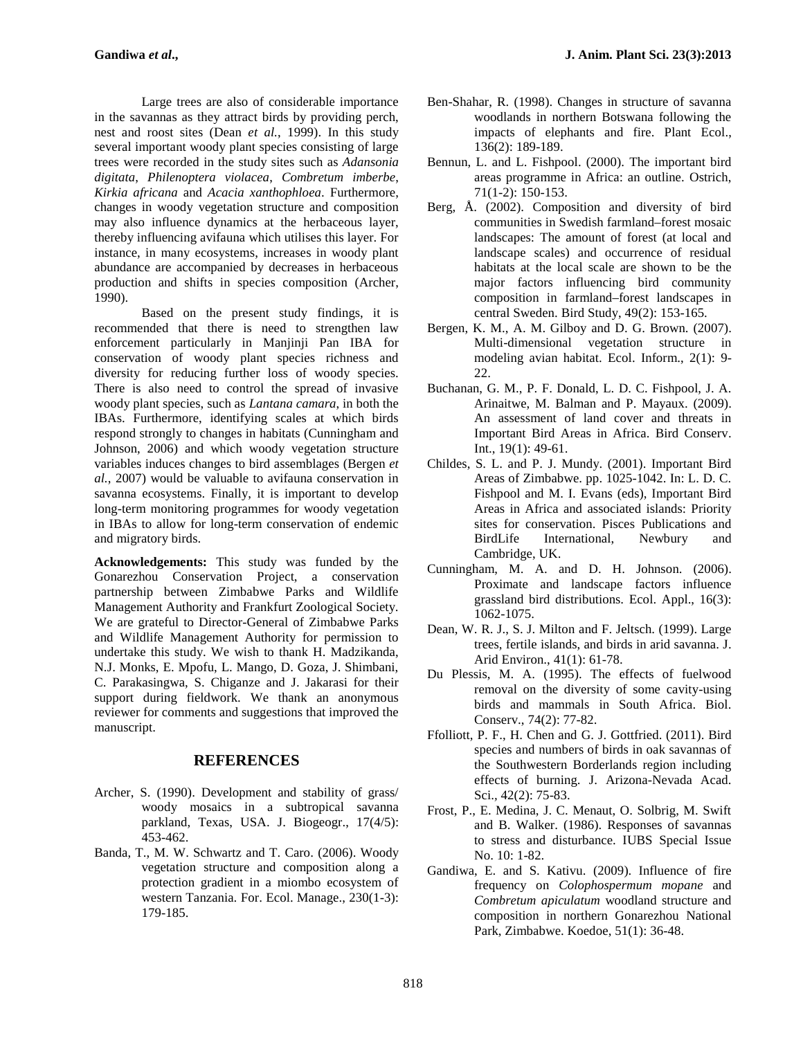Large trees are also of considerable importance in the savannas as they attract birds by providing perch, nest and roost sites (Dean *et al.*, 1999). In this study several important woody plant species consisting of large trees were recorded in the study sites such as *Adansonia digitata*, *Philenoptera violacea*, *Combretum imberbe*, *Kirkia africana* and *Acacia xanthophloea*. Furthermore, changes in woody vegetation structure and composition may also influence dynamics at the herbaceous layer, thereby influencing avifauna which utilises this layer. For instance, in many ecosystems, increases in woody plant abundance are accompanied by decreases in herbaceous production and shifts in species composition (Archer, 1990).

Based on the present study findings, it is recommended that there is need to strengthen law enforcement particularly in Manjinji Pan IBA for conservation of woody plant species richness and diversity for reducing further loss of woody species. There is also need to control the spread of invasive woody plant species, such as *Lantana camara*, in both the IBAs. Furthermore, identifying scales at which birds respond strongly to changes in habitats (Cunningham and Johnson, 2006) and which woody vegetation structure variables induces changes to bird assemblages (Bergen *et al.*, 2007) would be valuable to avifauna conservation in savanna ecosystems. Finally, it is important to develop long-term monitoring programmes for woody vegetation in IBAs to allow for long-term conservation of endemic and migratory birds.

**Acknowledgements:** This study was funded by the Gonarezhou Conservation Project, a conservation partnership between Zimbabwe Parks and Wildlife Management Authority and Frankfurt Zoological Society. We are grateful to Director-General of Zimbabwe Parks and Wildlife Management Authority for permission to undertake this study. We wish to thank H. Madzikanda, N.J. Monks, E. Mpofu, L. Mango, D. Goza, J. Shimbani, C. Parakasingwa, S. Chiganze and J. Jakarasi for their support during fieldwork. We thank an anonymous reviewer for comments and suggestions that improved the manuscript.

## **REFERENCES**

- Archer, S. (1990). Development and stability of grass/ woody mosaics in a subtropical savanna parkland, Texas, USA. J. Biogeogr., 17(4/5): 453-462.
- Banda, T., M. W. Schwartz and T. Caro. (2006). Woody vegetation structure and composition along a protection gradient in a miombo ecosystem of western Tanzania. For. Ecol. Manage., 230(1-3): 179-185.
- Ben-Shahar, R. (1998). Changes in structure of savanna woodlands in northern Botswana following the impacts of elephants and fire. Plant Ecol., 136(2): 189-189.
- Bennun, L. and L. Fishpool. (2000). The important bird areas programme in Africa: an outline. Ostrich, 71(1-2): 150-153.
- Berg, Å. (2002). Composition and diversity of bird communities in Swedish farmland–forest mosaic landscapes: The amount of forest (at local and landscape scales) and occurrence of residual habitats at the local scale are shown to be the major factors influencing bird community composition in farmland–forest landscapes in central Sweden. Bird Study, 49(2): 153-165.
- Bergen, K. M., A. M. Gilboy and D. G. Brown. (2007). Multi-dimensional vegetation structure in modeling avian habitat. Ecol. Inform., 2(1): 9- 22.
- Buchanan, G. M., P. F. Donald, L. D. C. Fishpool, J. A. Arinaitwe, M. Balman and P. Mayaux. (2009). An assessment of land cover and threats in Important Bird Areas in Africa. Bird Conserv. Int., 19(1): 49-61.
- Childes, S. L. and P. J. Mundy. (2001). Important Bird Areas of Zimbabwe. pp. 1025-1042. In: L. D. C. Fishpool and M. I. Evans (eds), Important Bird Areas in Africa and associated islands: Priority sites for conservation. Pisces Publications and BirdLife International, Newbury and Cambridge, UK.
- Cunningham, M. A. and D. H. Johnson. (2006). Proximate and landscape factors influence grassland bird distributions. Ecol. Appl., 16(3): 1062-1075.
- Dean, W. R. J., S. J. Milton and F. Jeltsch. (1999). Large trees, fertile islands, and birds in arid savanna. J. Arid Environ., 41(1): 61-78.
- Du Plessis, M. A. (1995). The effects of fuelwood removal on the diversity of some cavity-using birds and mammals in South Africa. Biol. Conserv., 74(2): 77-82.
- Ffolliott, P. F., H. Chen and G. J. Gottfried. (2011). Bird species and numbers of birds in oak savannas of the Southwestern Borderlands region including effects of burning. J. Arizona-Nevada Acad. Sci.*,* 42(2): 75-83.
- Frost, P., E. Medina, J. C. Menaut, O. Solbrig, M. Swift and B. Walker. (1986). Responses of savannas to stress and disturbance. IUBS Special Issue No. 10: 1-82.
- Gandiwa, E. and S. Kativu. (2009). Influence of fire frequency on *Colophospermum mopane* and *Combretum apiculatum* woodland structure and composition in northern Gonarezhou National Park, Zimbabwe. Koedoe, 51(1): 36-48.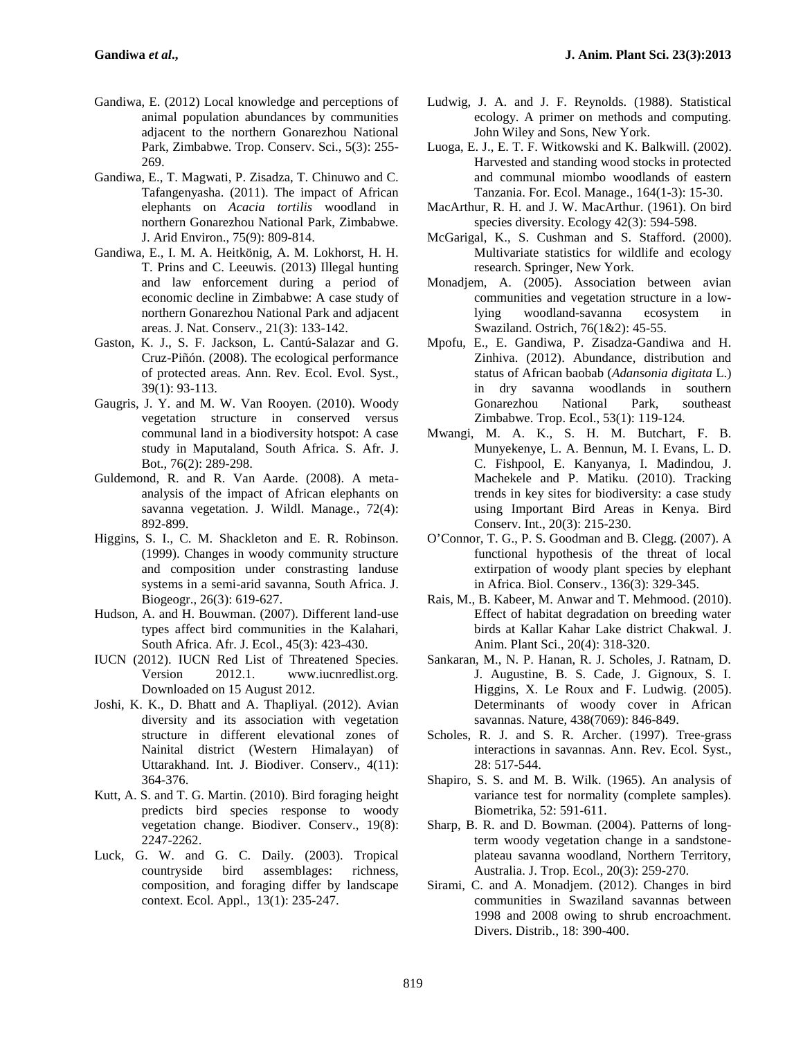- Gandiwa, E. (2012) Local knowledge and perceptions of animal population abundances by communities adjacent to the northern Gonarezhou National Park, Zimbabwe. Trop. Conserv. Sci., 5(3): 255- 269.
- Gandiwa, E., T. Magwati, P. Zisadza, T. Chinuwo and C. Tafangenyasha. (2011). The impact of African elephants on *Acacia tortilis* woodland in northern Gonarezhou National Park, Zimbabwe. J. Arid Environ., 75(9): 809-814.
- Gandiwa, E., I. M. A. Heitkönig, A. M. Lokhorst, H. H. T. Prins and C. Leeuwis. (2013) Illegal hunting and law enforcement during a period of economic decline in Zimbabwe: A case study of northern Gonarezhou National Park and adjacent areas. J. Nat. Conserv., 21(3): 133-142.
- Gaston, K. J., S. F. Jackson, L. Cantú-Salazar and G. Cruz-Piñón. (2008). The ecological performance of protected areas. Ann. Rev. Ecol. Evol. Syst., 39(1): 93-113.
- Gaugris, J. Y. and M. W. Van Rooyen. (2010). Woody vegetation structure in conserved versus communal land in a biodiversity hotspot: A case study in Maputaland, South Africa. S. Afr. J. Bot., 76(2): 289-298.
- Guldemond, R. and R. Van Aarde. (2008). A meta analysis of the impact of African elephants on savanna vegetation. J. Wildl. Manage., 72(4): 892-899.
- Higgins, S. I., C. M. Shackleton and E. R. Robinson. (1999). Changes in woody community structure and composition under constrasting landuse systems in a semi-arid savanna, South Africa. J. Biogeogr., 26(3): 619-627.
- Hudson, A. and H. Bouwman. (2007). Different land-use types affect bird communities in the Kalahari, South Africa. Afr. J. Ecol., 45(3): 423-430.
- IUCN (2012). IUCN Red List of Threatened Species. Version 2012.1. www.iucnredlist.org. Downloaded on 15 August 2012.
- Joshi, K. K., D. Bhatt and A. Thapliyal. (2012). Avian diversity and its association with vegetation structure in different elevational zones of Nainital district (Western Himalayan) of Uttarakhand. Int. J. Biodiver. Conserv., 4(11): 364-376.
- Kutt, A. S. and T. G. Martin. (2010). Bird foraging height predicts bird species response to woody vegetation change. Biodiver. Conserv., 19(8): 2247-2262.
- Luck, G. W. and G. C. Daily. (2003). Tropical countryside bird assemblages: richness, composition, and foraging differ by landscape context. Ecol. Appl., 13(1): 235-247.
- Ludwig, J. A. and J. F. Reynolds. (1988). Statistical ecology. A primer on methods and computing. John Wiley and Sons, New York.
- Luoga, E. J., E. T. F. Witkowski and K. Balkwill. (2002). Harvested and standing wood stocks in protected and communal miombo woodlands of eastern Tanzania. For. Ecol. Manage., 164(1-3): 15-30.
- MacArthur, R. H. and J. W. MacArthur. (1961). On bird species diversity. Ecology 42(3): 594-598.
- McGarigal, K., S. Cushman and S. Stafford. (2000). Multivariate statistics for wildlife and ecology research. Springer, New York.
- Monadjem, A. (2005). Association between avian communities and vegetation structure in a lowlying woodland-savanna ecosystem in Swaziland. Ostrich, 76(1&2): 45-55.
- Mpofu, E., E. Gandiwa, P. Zisadza-Gandiwa and H. Zinhiva. (2012). Abundance, distribution and status of African baobab (*Adansonia digitata* L.) in dry savanna woodlands in southern Gonarezhou National Park, southeast Zimbabwe. Trop. Ecol., 53(1): 119-124.
- Mwangi, M. A. K., S. H. M. Butchart, F. B. Munyekenye, L. A. Bennun, M. I. Evans, L. D. C. Fishpool, E. Kanyanya, I. Madindou, J. Machekele and P. Matiku. (2010). Tracking trends in key sites for biodiversity: a case study using Important Bird Areas in Kenya. Bird Conserv. Int., 20(3): 215-230.
- O'Connor, T. G., P. S. Goodman and B. Clegg. (2007). A functional hypothesis of the threat of local extirpation of woody plant species by elephant in Africa. Biol. Conserv., 136(3): 329-345.
- Rais, M., B. Kabeer, M. Anwar and T. Mehmood. (2010). Effect of habitat degradation on breeding water birds at Kallar Kahar Lake district Chakwal. J. Anim. Plant Sci., 20(4): 318-320.
- Sankaran, M., N. P. Hanan, R. J. Scholes, J. Ratnam, D. J. Augustine, B. S. Cade, J. Gignoux, S. I. Higgins, X. Le Roux and F. Ludwig. (2005). Determinants of woody cover in African savannas. Nature, 438(7069): 846-849.
- Scholes, R. J. and S. R. Archer. (1997). Tree-grass interactions in savannas. Ann. Rev. Ecol. Syst., 28: 517-544.
- Shapiro, S. S. and M. B. Wilk. (1965). An analysis of variance test for normality (complete samples). Biometrika, 52: 591-611.
- Sharp, B. R. and D. Bowman. (2004). Patterns of longterm woody vegetation change in a sandstone plateau savanna woodland, Northern Territory, Australia. J. Trop. Ecol., 20(3): 259-270.
- Sirami, C. and A. Monadjem. (2012). Changes in bird communities in Swaziland savannas between 1998 and 2008 owing to shrub encroachment. Divers. Distrib., 18: 390-400.